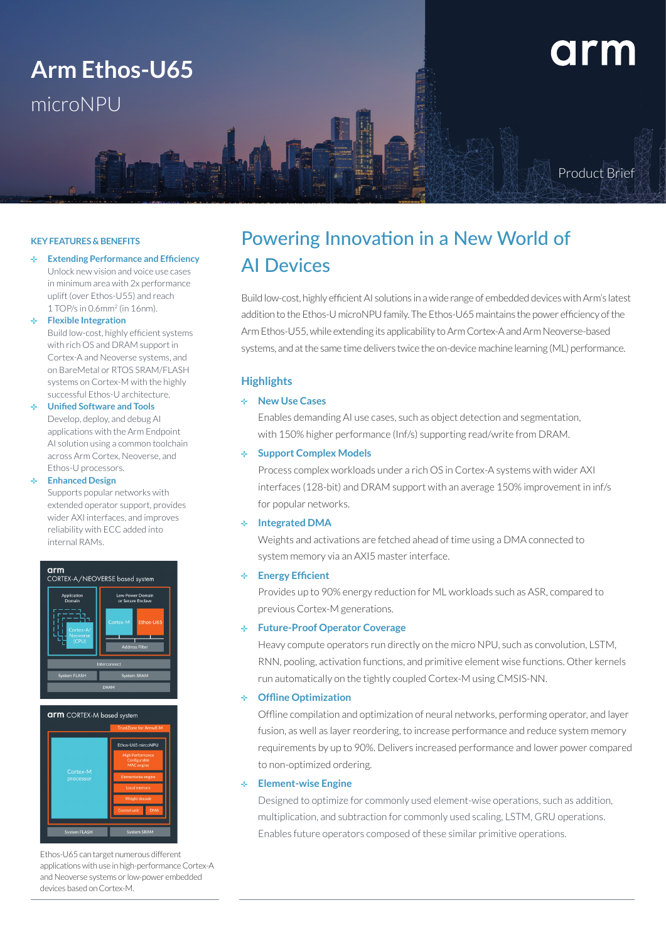## **Arm Ethos-U65** microNPU

# arm

Product Brief

#### **KEY FEATURES & BENEFITS**

de la **Extending Performance and Efficiency** Unlock new vision and voice use cases in minimum area with 2x performance uplift (over Ethos-U55) and reach 1 TOP/s in 0.6mm2 (in 16nm).

#### **Flexible Integration**

Build low-cost, highly efficient systems with rich OS and DRAM support in Cortex-A and Neoverse systems, and on BareMetal or RTOS SRAM/FLASH systems on Cortex-M with the highly successful Ethos-U architecture.

#### **Unified Software and Tools**

Develop, deploy, and debug AI applications with the Arm Endpoint AI solution using a common toolchain across Arm Cortex, Neoverse, and Ethos-U processors.

#### **Enhanced Design**

Supports popular networks with extended operator support, provides wider AXI interfaces, and improves reliability with ECC added into internal RAMs.





Ethos-U65 can target numerous different applications with use in high-performance Cortex-A and Neoverse systems or low-power embedded devices based on Cortex-M.

### Powering Innovation in a New World of AI Devices

Build low-cost, highly efficient AI solutions in a wide range of embedded devices with Arm's latest addition to the Ethos-U microNPU family. The Ethos-U65 maintains the power efficiency of the Arm Ethos-U55, while extending its applicability to Arm Cortex-A and Arm Neoverse-based systems, and at the same time delivers twice the on-device machine learning (ML) performance.

#### **Highlights**

#### **New Use Cases**

Enables demanding AI use cases, such as object detection and segmentation, with 150% higher performance (Inf/s) supporting read/write from DRAM.

#### **Support Complex Models**

Process complex workloads under a rich OS in Cortex-A systems with wider AXI interfaces (128-bit) and DRAM support with an average 150% improvement in inf/s for popular networks.

#### **Integrated DMA**

Weights and activations are fetched ahead of time using a DMA connected to system memory via an AXI5 master interface.

#### **Energy Efficient**

Provides up to 90% energy reduction for ML workloads such as ASR, compared to previous Cortex-M generations.

#### **Future-Proof Operator Coverage**

Heavy compute operators run directly on the micro NPU, such as convolution, LSTM, RNN, pooling, activation functions, and primitive element wise functions. Other kernels run automatically on the tightly coupled Cortex-M using CMSIS-NN.

#### **Offline Optimization**

Offline compilation and optimization of neural networks, performing operator, and layer fusion, as well as layer reordering, to increase performance and reduce system memory requirements by up to 90%. Delivers increased performance and lower power compared to non-optimized ordering.

#### **Element-wise Engine**

Designed to optimize for commonly used element-wise operations, such as addition, multiplication, and subtraction for commonly used scaling, LSTM, GRU operations. Enables future operators composed of these similar primitive operations.